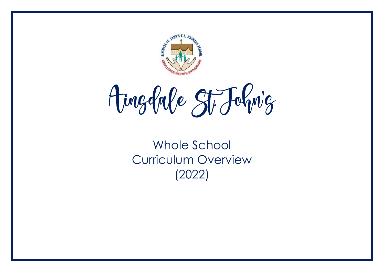

Ainglabe St. Johnig

Whole School Curriculum Overview (2022)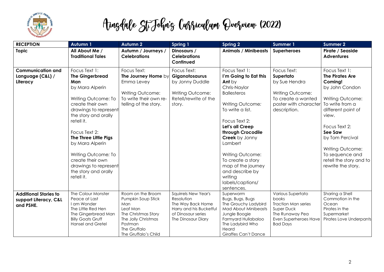

| <b>RECEPTION</b>                                                   | <b>Autumn 1</b>                                                                                                                                                                                                                                                                                                                                    | <b>Autumn 2</b>                                                                                                                                             | Spring 1                                                                                                                       | <b>Spring 2</b>                                                                                                                                                                                                                                                                                                                                            | <b>Summer 1</b>                                                                                                                       | <b>Summer 2</b>                                                                                                                                                                                                                                                                   |
|--------------------------------------------------------------------|----------------------------------------------------------------------------------------------------------------------------------------------------------------------------------------------------------------------------------------------------------------------------------------------------------------------------------------------------|-------------------------------------------------------------------------------------------------------------------------------------------------------------|--------------------------------------------------------------------------------------------------------------------------------|------------------------------------------------------------------------------------------------------------------------------------------------------------------------------------------------------------------------------------------------------------------------------------------------------------------------------------------------------------|---------------------------------------------------------------------------------------------------------------------------------------|-----------------------------------------------------------------------------------------------------------------------------------------------------------------------------------------------------------------------------------------------------------------------------------|
| <b>Topic</b>                                                       | All About Me /<br><b>Traditional Tales</b>                                                                                                                                                                                                                                                                                                         | Autumn / Journeys /<br><b>Celebrations</b>                                                                                                                  | Dinosaurs /<br><b>Celebrations</b><br>Continued                                                                                | <b>Animals / Minibeasts</b>                                                                                                                                                                                                                                                                                                                                | <b>Superheroes</b>                                                                                                                    | Pirate / Seaside<br><b>Adventures</b>                                                                                                                                                                                                                                             |
| <b>Communication and</b><br>Language (C&L) /<br>Literacy           | Focus Text 1:<br><b>The Gingerbread</b><br>Man<br>by Mara Alperin<br>Writing Outcome: To<br>create their own<br>drawings to represent<br>the story and orally<br>retell it.<br>Focus Text 2:<br>The Three Little Pigs<br>by Mara Alperin<br>Writing Outcome: To<br>create their own<br>drawings to represent<br>the story and orally<br>retell it. | Focus Text:<br>The Journey Home by<br>Emma Levey<br>Writing Outcome:<br>To write their own re-<br>telling of the story.                                     | Focus Text:<br>Giganotosaurus<br>by Jonny Duddle<br>Writing Outcome:<br>Retell/rewrite of the<br>story.                        | Focus Text 1:<br>I'm Going to Eat this<br>Ant by<br>Chris-Naylor<br><b>Ballesteros</b><br>Writing Outcome:<br>To write a list.<br>Focus Text 2:<br>Let's all Creep<br>through Crocodile<br><b>Creek</b> by Jonny<br>Lambert<br>Writing Outcome:<br>To create a story<br>map of the journey<br>and describe by<br>writing<br>labels/captions/<br>sentences. | Focus Text:<br>Supertato<br>by Sue Hendra<br>Writing Outcome:<br>To create a wanted<br>poster with character<br>description.          | Focus Text 1:<br><b>The Pirates Are</b><br>Coming!<br>by John Condon<br>Writing Outcome:<br>To write from a<br>different point of<br>view.<br>Focus Text 2:<br>See Saw<br>by Tom Percival<br>Writing Outcome:<br>To sequence and<br>retell the story and to<br>rewrite the story. |
| <b>Additional Stories to</b><br>support Literacy, C&L<br>and PSHE. | The Colour Monster<br>Peace at Last<br>I am Wonder<br>The Little Red Hen<br>The Gingerbread Man<br><b>Billy Goats Gruff</b><br><b>Hansel and Gretel</b>                                                                                                                                                                                            | Room on the Broom<br>Pumpkin Soup Stick<br>Man<br>Leaf Man<br>The Christmas Story<br>The Jolly Christmas<br>Postman<br>The Gruffalo<br>The Gruffalo's Child | Squirrels New Year's<br>Resolution<br>The Way Back Home<br>Harry and his Bucketful<br>of Dinosaur series<br>The Dinosaur Diary | Superworm<br>Bugs, Bugs, Bugs<br>The Grouchy Ladybird<br>Mad About Minibeasts<br>Jungle Boogie<br>Farmyard Hullabaloo<br>The Ladybird Who<br>Heard<br><b>Giraffes Can't Dance</b>                                                                                                                                                                          | Various Supertato<br>books<br><b>Traction Man series</b><br>Super Duck<br>The Runaway Pea<br>Even Superheroes Have<br><b>Bad Days</b> | Sharing a Shell<br>Commotion in the<br>Ocean<br>Pirates in the<br>Supermarket<br>Pirates Love Underpants                                                                                                                                                                          |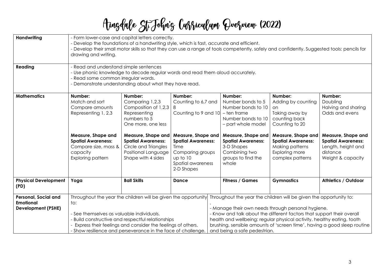| <b>Handwriting</b><br>Reading                                         | - Form lower-case and capital letters correctly.<br>- Develop the foundations of a handwriting style, which is fast, accurate and efficient.<br>- Develop their small motor skills so that they can use a range of tools competently, safely and confidently. Suggested tools: pencils for<br>drawing and writing.<br>- Read and understand simple sentences<br>- Use phonic knowledge to decode regular words and read them aloud accurately.<br>- Read some common irregular words.<br>- Demonstrate understanding about what they have read.                                                                                                                                                 |                                                                                                                                                                                                                                                                                                                                                                                                                                                                                                                                                                                                                                                                                                                                                                                                                                                                                                              |              |                        |                   |                                                                                                                                     |
|-----------------------------------------------------------------------|-------------------------------------------------------------------------------------------------------------------------------------------------------------------------------------------------------------------------------------------------------------------------------------------------------------------------------------------------------------------------------------------------------------------------------------------------------------------------------------------------------------------------------------------------------------------------------------------------------------------------------------------------------------------------------------------------|--------------------------------------------------------------------------------------------------------------------------------------------------------------------------------------------------------------------------------------------------------------------------------------------------------------------------------------------------------------------------------------------------------------------------------------------------------------------------------------------------------------------------------------------------------------------------------------------------------------------------------------------------------------------------------------------------------------------------------------------------------------------------------------------------------------------------------------------------------------------------------------------------------------|--------------|------------------------|-------------------|-------------------------------------------------------------------------------------------------------------------------------------|
| <b>Mathematics</b>                                                    | Number:<br>Match and sort<br>Compare amounts<br>Representing 1, 2,3<br>Measure, Shape and<br><b>Spatial Awareness:</b><br>Compare size, mass &<br>capacity<br>Exploring pattern                                                                                                                                                                                                                                                                                                                                                                                                                                                                                                                 | Number:<br>Number:<br>Number:<br>Number:<br>Number:<br>Comparing 1,2,3<br>Counting to 6,7 and<br>Number bonds to 5<br>Doubling<br>Adding by counting<br>Composition of 1,2,3<br>Number bonds to 10<br><b>on</b><br>Counting to 9 and 10<br>Representing<br>- ten frame<br>Taking away by<br>numbers to 5<br>Number bonds to 10<br>counting back<br>Counting to 20<br>One more, one less<br>- part whole model<br>Measure, Shape and<br>Measure, Shape and<br>Measure, Shape and<br>Measure, Shape and<br><b>Spatial Awareness:</b><br><b>Spatial Awareness:</b><br><b>Spatial Awareness:</b><br><b>Spatial Awareness:</b><br>Circle and Triangles<br>3-D Shapes<br>Making patterns<br>Time<br>Positional Language<br>Combining two<br>Exploring more<br>distance<br>Comparing groups<br>Shape with 4 sides<br>groups to find the<br>complex patterns<br>up to 10<br>Spatial awareness<br>whole<br>2-D Shapes |              |                        |                   | Halving and sharing<br>Odds and evens<br>Measure, Shape and<br><b>Spatial Awareness:</b><br>Length, height and<br>Weight & capacity |
| <b>Physical Development</b><br>(PD)                                   | Yoga                                                                                                                                                                                                                                                                                                                                                                                                                                                                                                                                                                                                                                                                                            | <b>Ball Skills</b>                                                                                                                                                                                                                                                                                                                                                                                                                                                                                                                                                                                                                                                                                                                                                                                                                                                                                           | <b>Dance</b> | <b>Fitness / Games</b> | <b>Gymnastics</b> | Athletics / Outdoor                                                                                                                 |
| Personal, Social and<br><b>Emotional</b><br><b>Development (PSHE)</b> | Throughout the year the children will be given the opportunity Throughout the year the children will be given the opportunity to:<br>to:<br>- Manage their own needs through personal hygiene.<br>- See themselves as valuable individuals.<br>- Know and talk about the different factors that support their overall<br>- Build constructive and respectful relationships<br>health and wellbeing: regular physical activity, healthy eating, tooth<br>Express their feelings and consider the feelings of others.<br>brushing, sensible amounts of 'screen time', having a good sleep routine<br>- Show resilience and perseverance in the face of challenge.<br>and being a safe pedestrian. |                                                                                                                                                                                                                                                                                                                                                                                                                                                                                                                                                                                                                                                                                                                                                                                                                                                                                                              |              |                        |                   |                                                                                                                                     |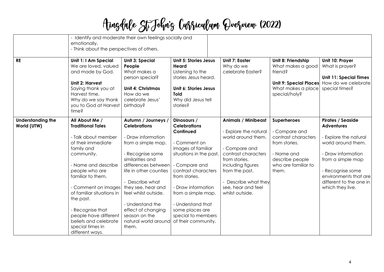|                                         | - Identify and moderate their own feelings socially and<br>emotionally.<br>- Think about the perspectives of others.                                                                                                                                                                                                                                                                 |                                                                                                                                                                                                                                                                                                                      |                                                                                                                                                                                                                                                                                                            |                                                                                                                                                                                                                                            |                                                                                                                                              |                                                                                                                                                                                                                                     |  |
|-----------------------------------------|--------------------------------------------------------------------------------------------------------------------------------------------------------------------------------------------------------------------------------------------------------------------------------------------------------------------------------------------------------------------------------------|----------------------------------------------------------------------------------------------------------------------------------------------------------------------------------------------------------------------------------------------------------------------------------------------------------------------|------------------------------------------------------------------------------------------------------------------------------------------------------------------------------------------------------------------------------------------------------------------------------------------------------------|--------------------------------------------------------------------------------------------------------------------------------------------------------------------------------------------------------------------------------------------|----------------------------------------------------------------------------------------------------------------------------------------------|-------------------------------------------------------------------------------------------------------------------------------------------------------------------------------------------------------------------------------------|--|
| <b>RE</b>                               | Unit 1: I Am Special<br>We are loved, valued<br>and made by God.<br><b>Unit 2: Harvest</b><br>Saying thank you at<br>Harvest time.<br>Why do we say thank<br>you to God at Harvest<br>time?                                                                                                                                                                                          | <b>Unit 3: Special</b><br>People<br>What makes a<br>person special?<br><b>Unit 4: Christmas</b><br>How do we<br>celebrate Jesus'<br>birthday?                                                                                                                                                                        | <b>Unit 5: Stories Jesus</b><br>Heard<br>Listening to the<br>stories Jesus heard.<br>Unit 6: Stories Jesus<br><b>Told</b><br>Why did Jesus tell<br>stories?                                                                                                                                                | <b>Unit 7: Easter</b><br>Why do we<br>celebrate Easter?                                                                                                                                                                                    | Unit 8: Friendship<br>What makes a good<br>friend?<br>Unit 9: Special Places<br>What makes a place<br>special/holy?                          | Unit 10: Prayer<br>What is prayer?<br><b>Unit 11: Special Times</b><br>How do we celebrate<br>special times?                                                                                                                        |  |
| <b>Understanding the</b><br>World (UTW) | All About Me /<br><b>Traditional Tales</b><br>- Talk about member<br>of their immediate<br>family and<br>community.<br>- Name and describe<br>people who are<br>familiar to them.<br>- Comment on images   they see, hear and<br>of familiar situations in<br>the past.<br>- Recognise that<br>people have different<br>beliefs and celebrate<br>special times in<br>different ways. | Autumn / Journeys<br><b>Celebrations</b><br>- Draw information<br>from a simple map.<br>- Recognise some<br>similarities and<br>differences between<br>life in other counties<br>- Describe what<br>feel whilst outside.<br>- Understand the<br>effect of changing<br>season on the<br>natural world around<br>them. | Dinosaurs /<br><b>Celebrations</b><br>Continued<br>- Comment on<br>images of familiar<br>situations in the past.<br>- Compare and<br>contrast characters<br>from stories.<br>- Draw information<br>from a simple map.<br>- Understand that<br>some places are<br>special to members<br>of their community. | <b>Animals / Minibeast</b><br>- Explore the natural<br>world around them.<br>- Compare and<br>contrast characters<br>from stories,<br>including figures<br>from the past.<br>- Describe what they<br>see, hear and feel<br>whilst outside. | <b>Superheroes</b><br>- Compare and<br>contrast characters<br>from stories.<br>- Name and<br>describe people<br>who are familiar to<br>them. | <b>Pirates / Seaside</b><br><b>Adventures</b><br>- Explore the natural<br>world around them.<br>- Draw information<br>from a simple map<br>- Recognise some<br>environments that are<br>different to the one in<br>which they live. |  |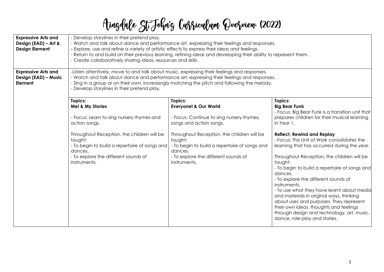| <b>Expressive Arts and</b><br>Design (EAD) - Art &<br><b>Design Element</b> | - Develop storylines in their pretend play.<br>- Watch and talk about dance and performance art, expressing their feelings and responses.<br>- Explore, use and refine a variety of artistic effects to express their ideas and feelings.<br>- Return to and build on their previous learning, refining ideas and developing their ability to represent them.<br>- Create collaboratively sharing ideas, resources and skills. |                                                                                                                                                                                                                                                                                                                                                                                                                                                                                                                                                                                               |                                                                                                                                                                                                                                                                                                                                                                                                                                                   |  |  |  |  |
|-----------------------------------------------------------------------------|--------------------------------------------------------------------------------------------------------------------------------------------------------------------------------------------------------------------------------------------------------------------------------------------------------------------------------------------------------------------------------------------------------------------------------|-----------------------------------------------------------------------------------------------------------------------------------------------------------------------------------------------------------------------------------------------------------------------------------------------------------------------------------------------------------------------------------------------------------------------------------------------------------------------------------------------------------------------------------------------------------------------------------------------|---------------------------------------------------------------------------------------------------------------------------------------------------------------------------------------------------------------------------------------------------------------------------------------------------------------------------------------------------------------------------------------------------------------------------------------------------|--|--|--|--|
| <b>Expressive Arts and</b><br>Design (EAD) - Music<br>Element               | - Develop storylines in their pretend play.<br>Topics:<br>Me! & My Stories<br>- Focus: Learn to sing nursery rhymes and<br>action songs.<br>Throughout Reception, the children will be<br>taught:<br>- To begin to build a repertoire of songs and<br>dances.<br>- To explore the different sounds of<br>instruments.                                                                                                          | -Listen attentively, move to and talk about music, expressing their feelings and responses.<br>- Watch and talk about dance and performance art, expressing their feelings and responses.<br>- Sing in a group or on their own, increasingly matching the pitch and following the melody.<br>Topics:<br><b>Everyone! &amp; Our World</b><br>- Focus: Continue to sing nursery rhymes,<br>songs and action songs.<br>Throughout Reception, the children will be<br>taught:<br>- To begin to build a repertoire of songs and<br>dances.<br>- To explore the different sounds of<br>instruments. | Topics:<br><b>Big Bear Funk</b><br>- Focus: Big Bear Funk is a transition unit that<br>prepares children for their musical learning<br>in Year 1.<br><b>Reflect, Rewind and Replay</b><br>- Focus: This Unit of Work consolidates the<br>learning that has occurred during the year.<br>Throughout Reception, the children will be<br>taught:<br>- To begin to build a repertoire of songs and<br>dances.<br>- To explore the different sounds of |  |  |  |  |
|                                                                             |                                                                                                                                                                                                                                                                                                                                                                                                                                |                                                                                                                                                                                                                                                                                                                                                                                                                                                                                                                                                                                               | instruments.<br>- To use what they have learnt about media<br>and materials in original ways, thinking<br>about uses and purposes. They represent<br>their own ideas, thoughts and feelings<br>through design and technology, art, music,<br>dance, role-play and stories.                                                                                                                                                                        |  |  |  |  |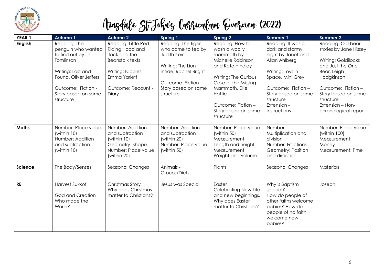

| YEAR <sub>1</sub> | Autumn 1                                                                                                                                                                       | <b>Autumn 2</b>                                                                                                                                      | Spring 1                                                                                                                                                        | <b>Spring 2</b>                                                                                                                                                                                                              | <b>Summer 1</b>                                                                                                                                                                                              | <b>Summer 2</b>                                                                                                                                                                                                          |
|-------------------|--------------------------------------------------------------------------------------------------------------------------------------------------------------------------------|------------------------------------------------------------------------------------------------------------------------------------------------------|-----------------------------------------------------------------------------------------------------------------------------------------------------------------|------------------------------------------------------------------------------------------------------------------------------------------------------------------------------------------------------------------------------|--------------------------------------------------------------------------------------------------------------------------------------------------------------------------------------------------------------|--------------------------------------------------------------------------------------------------------------------------------------------------------------------------------------------------------------------------|
| English           | Reading: The<br>penguin who wanted<br>to find out by Jill<br>Tomlinson<br>Writing: Lost and<br>Found, Oliver Jeffers<br>Outcome: Fiction -<br>Story based on same<br>structure | Reading: Little Red<br>Riding Hood and<br>Jack and the<br><b>Beanstalk texts</b><br>Writing: Nibbles,<br>Emma Yarlett<br>Outcome: Recount -<br>Diary | Reading: The tiger<br>who came to tea by<br>Judith Kerr<br>Writing: The Lion<br>Inside, Rachel Bright<br>Outcome: Fiction -<br>Story based on same<br>structure | Reading: How to<br>wash a woolly<br>mammoth by<br>Michelle Robinson<br>and Kate Hindley<br>Writing: The Curious<br>Case of the Missing<br>Mammoth, Ellie<br>Hattie<br>Outcome: Fiction -<br>Story based on same<br>structure | Reading: It was a<br>dark and stormy<br>night by Janet and<br>Allan Ahlberg<br>Writing: Toys in<br>Space, Mini Grey<br>Outcome: Fiction -<br>Story based on same<br>structure<br>Extension -<br>Instructions | Reading: Old bear<br>stories by Jane Hissey<br>Writing: Goldilocks<br>and Just the One<br>Bear, Leigh<br>Hodgkinson<br>Outcome: Fiction-<br>Story based on same<br>structure<br>Extension - Non-<br>chronological report |
| <b>Maths</b>      | Number: Place value<br>(within 10)<br>Number: Addition<br>and subtraction<br>(within 10)                                                                                       | Number: Addition<br>and subtraction<br>(within 10)<br>Geometry: Shape<br>Number: Place value<br>(within 20)                                          | Number: Addition<br>and subtraction<br>(within 20)<br>Number: Place value<br>(within 50)                                                                        | Number: Place value<br>(within 50)<br>Measurement:<br>Length and height<br>Measurement:<br>Weight and volume                                                                                                                 | Number:<br>Multiplication and<br>division<br>Number: Fractions<br>Geometry: Position<br>and direction                                                                                                        | Number: Place value<br>(within $100$ )<br>Measurement:<br>Money<br>Measurement: Time                                                                                                                                     |
| Science           | The Body/Senses                                                                                                                                                                | Seasonal Changes                                                                                                                                     | Animals -<br>Groups/Diets                                                                                                                                       | Plants                                                                                                                                                                                                                       | Seasonal Changes                                                                                                                                                                                             | <b>Materials</b>                                                                                                                                                                                                         |
| <b>RE</b>         | Harvest Sukkot<br>God and Creation<br>Who made the<br>World?                                                                                                                   | Christmas Story<br>Why does Christmas<br>matter to Christians?                                                                                       | Jesus was Special                                                                                                                                               | Easter<br>Celebrating New Life<br>and new beginnings.<br>Why does Easter<br>matter to Christians?                                                                                                                            | Why is Baptism<br>special?<br>How do people of<br>other faiths welcome<br>babies? How do<br>people of no faith<br>welcome new<br>babies?                                                                     | Joseph                                                                                                                                                                                                                   |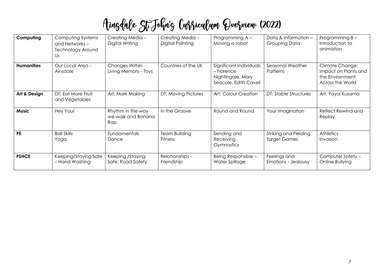| Computing         | Computing Systems<br>and Networks -<br><b>Technology Around</b><br>Us | Creating Media -<br>Digital Writing            | Creating Media -<br><b>Digital Painting</b> | Programming A -<br>Moving a robot                                                   | Data & Information -<br>Grouping Data        | Programming B -<br>Introduction to<br>animation                                       |
|-------------------|-----------------------------------------------------------------------|------------------------------------------------|---------------------------------------------|-------------------------------------------------------------------------------------|----------------------------------------------|---------------------------------------------------------------------------------------|
| <b>Humanities</b> | Our Local Area -<br>Ainsdale                                          | Changes Within<br>Living Memory - Toys         | Countries of the UK                         | Significant Individuals<br>- Florence<br>Nightingale, Mary<br>Seacole, Edith Cavell | Seasonal Weather<br>Patterns                 | <b>Climate Change:</b><br>Impact on Plants and<br>the Environment<br>Across the World |
| Art & Design      | DT: Eat More Fruit<br>and Vegetables                                  | Art: Mark Making                               | DT: Moving Pictures                         | Art: Colour Creation                                                                | <b>DT: Stable Structures</b>                 | Art: Yayoi Kusama                                                                     |
| <b>Music</b>      | Hey You!                                                              | Rhythm in the way<br>we walk and Banana<br>Rap | In the Groove                               | Round and Round                                                                     | Your Imagination                             | Reflect Rewind and<br>Replay                                                          |
| <b>PE</b>         | <b>Ball Skills</b><br>Yoga                                            | Fundamentals<br>Dance                          | <b>Team Building</b><br><b>Fitness</b>      | Sending and<br>Receiving<br>Gymnastics                                              | Striking and Fielding<br><b>Target Games</b> | Athletics<br>Invasion                                                                 |
| <b>PSHCE</b>      | Keeping/Staying Safe<br>- Hand Washing                                | Keeping /Staying<br>Safe: Road Safety          | Relationships -<br>Friendship               | Being Responsible -<br>Water Spillage                                               | Feelings and<br>Emotions - Jealousy          | Computer Safety -<br>Online Bullying                                                  |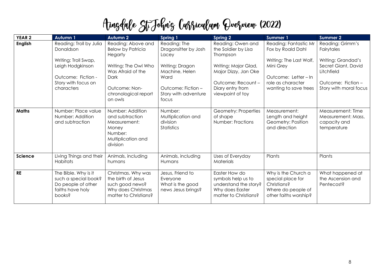| YEAR <sub>2</sub> | Autumn 1                                                                                         | <b>Autumn 2</b>                                                                                            | <b>Spring 1</b>                                                        | <b>Spring 2</b>                                                                                          | <b>Summer 1</b>                                                                                        | <b>Summer 2</b>                                                        |
|-------------------|--------------------------------------------------------------------------------------------------|------------------------------------------------------------------------------------------------------------|------------------------------------------------------------------------|----------------------------------------------------------------------------------------------------------|--------------------------------------------------------------------------------------------------------|------------------------------------------------------------------------|
| <b>English</b>    | Reading: Troll by Julia<br>Donaldson<br>Writing: Troll Swap,                                     | Reading: Above and<br><b>Below by Patricia</b><br><b>Hegarty</b>                                           | Reading: The<br>Dragonsitter by Josh<br>Lacey                          | Reading: Owen and<br>the Soldier by Lisa<br>Thompson                                                     | Reading: Fantastic Mr<br>Fox by Roald Dahl<br>Writing: The Last Wolf,                                  | Reading: Grimm's<br>Fairytales<br>Writing: Grandad's                   |
|                   | Leigh Hodgkinson<br>Outcome: Fiction -                                                           | Writing: The Owl Who<br>Was Afraid of the<br>Dark                                                          | Writing: Dragon<br>Machine, Helen<br>Ward                              | Writing: Major Glad,<br>Major Dizzy, Jan Oke                                                             | Mini Grey<br>Outcome: Letter-In                                                                        | Secret Giant, David<br>Litchfield                                      |
|                   | Story with focus on<br>characters                                                                | Outcome: Non-<br>chronological report<br>on owls                                                           | Outcome: Fiction -<br>Story with adventure<br>focus                    | Outcome: Recount -<br>Diary entry from<br>viewpoint of toy                                               | role as character<br>wanting to save trees                                                             | Outcome: Fiction-<br>Story with moral focus                            |
| <b>Maths</b>      | Number: Place value<br>Number: Addition<br>and subtraction                                       | Number: Addition<br>and subtraction<br>Measurement:<br>Money<br>Number:<br>Multiplication and<br>division  | Number:<br>Multiplication and<br>division<br><b>Statistics</b>         | Geometry: Properties<br>of shape<br>Number: Fractions                                                    | Measurement:<br>Length and height<br>Geometry: Position<br>and direction                               | Measurement: Time<br>Measurement: Mass,<br>capacity and<br>temperature |
| <b>Science</b>    | Living Things and their<br>Habitats                                                              | Animals, including<br>humans                                                                               | Animals, including<br>Humans                                           | Uses of Everyday<br>Materials                                                                            | Plants                                                                                                 | Plants                                                                 |
| <b>RE</b>         | The Bible. Why is it<br>such a special book?<br>Do people of other<br>faiths have holy<br>books? | Christmas. Why was<br>the birth of Jesus<br>such good news?<br>Why does Christmas<br>matter to Christians? | Jesus, Friend to<br>Everyone<br>What is the good<br>news Jesus brings? | Easter How do<br>symbols help us to<br>understand the story?<br>Why does Easter<br>matter to Christians? | Why is the Church a<br>special place for<br>Christians?<br>Where do people of<br>other faiths worship? | What happened at<br>the Ascension and<br>Pentecost?                    |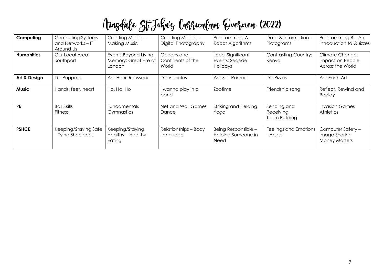| Computing         | Computing Systems<br>and Networks $-$ IT<br>Around Us | Creating Media -<br><b>Making Music</b>                 | Creating Media -<br>Digital Photography  | Programming A -<br>Robot Algorithms               | Data & Information -<br>Pictograms        | Programming $B - An$<br>Introduction to Quizzes                |
|-------------------|-------------------------------------------------------|---------------------------------------------------------|------------------------------------------|---------------------------------------------------|-------------------------------------------|----------------------------------------------------------------|
| <b>Humanities</b> | Our Local Area:<br>Southport                          | Events Beyond Living<br>Memory: Great Fire of<br>London | Oceans and<br>Continents of the<br>World | Local Significant<br>Events: Seaside<br>Holidays  | <b>Contrasting Country:</b><br>Kenya      | <b>Climate Change:</b><br>Impact on People<br>Across the World |
| Art & Design      | DT: Puppets                                           | Art: Henri Rousseau                                     | DT: Vehicles                             | Art: Self Portrait                                | DT: Pizzas                                | Art: Earth Art                                                 |
| <b>Music</b>      | Hands, feet, heart                                    | Ho, Ho, Ho                                              | I wanna play in a<br>band                | Zootime                                           | Friendship song                           | Reflect, Rewind and<br>Replay                                  |
| <b>PE</b>         | <b>Ball Skills</b><br><b>Fitness</b>                  | <b>Fundamentals</b><br>Gymnastics                       | Net and Wall Games<br>Dance              | Striking and Fielding<br>Yoga                     | Sending and<br>Receiving<br>Team Building | <b>Invasion Games</b><br><b>Athletics</b>                      |
| <b>PSHCE</b>      | Keeping/Staying Safe<br>- Tying Shoelaces             | Keeping/Staying<br>Healthy - Healthy<br>Eating          | Relationships - Body<br>Language         | Being Responsible -<br>Helping Someone in<br>Need | Feelings and Emotions<br>- Anger          | Computer Safety -<br>Image Sharing<br><b>Money Matters</b>     |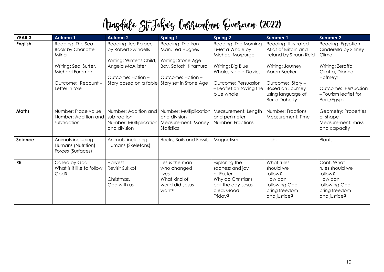| YEAR <sub>3</sub> | <b>Autumn 1</b>                                              | <b>Autumn 2</b>                                                               | Spring 1                                                                          | <b>Spring 2</b>                                                                                                   | <b>Summer 1</b>                                                                                 | Summer 2                                                                                              |
|-------------------|--------------------------------------------------------------|-------------------------------------------------------------------------------|-----------------------------------------------------------------------------------|-------------------------------------------------------------------------------------------------------------------|-------------------------------------------------------------------------------------------------|-------------------------------------------------------------------------------------------------------|
| <b>English</b>    | Reading: The Sea<br><b>Book by Charlotte</b><br>Milner       | Reading: Ice Palace<br>by Robert Swindells<br>Writing: Winter's Child,        | Reading: The Iron<br>Man, Ted Hughes<br>Writing: Stone Age                        | Reading: The Morning<br>I Met a Whale by<br>Michael Morpurgo                                                      | Reading: Illustrated<br>Atlas of Britain and<br>Ireland by Struan Reid                          | Reading: Egyptian<br>Cinderella by Shirley<br>Climo                                                   |
|                   | Writing: Seal Surfer,<br>Michael Foreman                     | Angela McAllister<br>Outcome: Fiction -                                       | Boy, Satoshi Kitamura<br>Outcome: Fiction -                                       | Writing: Big Blue<br><b>Whale, Nicola Davies</b>                                                                  | Writing: Journey,<br>Aaron Becker                                                               | Writing: Zeraffa<br>Giraffa, Dianne<br>Hofmeyr                                                        |
|                   | Outcome: Recount-<br>Letter in role                          | Story based on a fable                                                        | Story set in Stone Age                                                            | Outcome: Persuasion<br>- Leaflet on saving the<br>blue whale                                                      | Outcome: Story -<br><b>Based on Journey</b><br>using language of<br><b>Berlie Doherty</b>       | Outcome: Persuasion<br>- Tourism leaflet for<br>Paris/Egypt                                           |
| Maths             | Number: Place value<br>Number: Addition and<br>subtraction   | Number: Addition and<br>subtraction<br>Number: Multiplication<br>and division | Number: Multiplication<br>and division<br>Measurement: Money<br>Statistics        | Measurement: Length<br>and perimeter<br>Number: Fractions                                                         | Number: Fractions<br>Measurement: Time                                                          | Geometry: Properties<br>of shape<br>Measurement: mass<br>and capacity                                 |
| <b>Science</b>    | Animals including<br>Humans (Nutrition)<br>Forces (Surfaces) | Animals, including<br>Humans (Skeletons)                                      | Rocks, Soils and Fossils                                                          | Magnetism                                                                                                         | Light                                                                                           | Plants                                                                                                |
| <b>RE</b>         | Called by God<br>What is it like to follow<br>God?           | Harvest<br>Revisit Sukkot<br>Christmas,<br>God with us                        | Jesus the man<br>who changed<br>lives<br>What kind of<br>world did Jesus<br>want? | Exploring the<br>sadness and joy<br>of Easter<br>Why do Christians<br>call the day Jesus<br>died, Good<br>Friday? | What rules<br>should we<br>follow?<br>How can<br>following God<br>bring freedom<br>and justice? | Cont. What<br>rules should we<br>follow?<br>How can<br>following God<br>bring freedom<br>and justice? |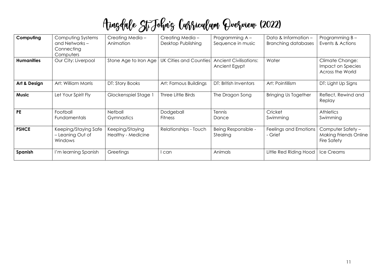| Computing         | Computing Systems<br>and Networks –<br>Connecting<br>Computers | Creating Media -<br>Animation         | Creating Media -<br>Desktop Publishing | Programming A -<br>Sequence in music           | Data & Information -<br><b>Branching databases</b> | Programming B-<br>Events & Actions                                      |
|-------------------|----------------------------------------------------------------|---------------------------------------|----------------------------------------|------------------------------------------------|----------------------------------------------------|-------------------------------------------------------------------------|
| <b>Humanities</b> | Our City: Liverpool                                            | Stone Age to Iron Age                 | <b>UK Cities and Counties</b>          | <b>Ancient Civilisations:</b><br>Ancient Egypt | Water                                              | <b>Climate Change:</b><br>Impact on Species<br>Across the World         |
| Art & Design      | Art: William Morris                                            | DT: Story Books                       | Art: Famous Buildings                  | DT: British Inventors                          | Art: Pointillism                                   | DT: Light Up Signs                                                      |
| <b>Music</b>      | Let Your Spirit Fly                                            | Glockenspiel Stage 1                  | Three Little Birds                     | The Dragon Song                                | <b>Bringing Us Together</b>                        | Reflect, Rewind and<br>Replay                                           |
| <b>PE</b>         | Football<br><b>Fundamentals</b>                                | Netball<br>Gymnastics                 | Dodgeball<br><b>Fitness</b>            | Tennis<br>Dance                                | Cricket<br>Swimming                                | <b>Athletics</b><br>Swimming                                            |
| <b>PSHCE</b>      | Keeping/Staying Safe<br>- Leaning Out of<br>Windows            | Keeping/Staying<br>Healthy - Medicine | Relationships - Touch                  | Being Responsible -<br>Stealing                | Feelings and Emotions<br>- Grief                   | Computer Safety -<br><b>Making Friends Online</b><br><b>Fire Safety</b> |
| Spanish           | I'm learning Spanish                                           | Greetings                             | l can                                  | Animals                                        | Little Red Riding Hood                             | Ice Creams                                                              |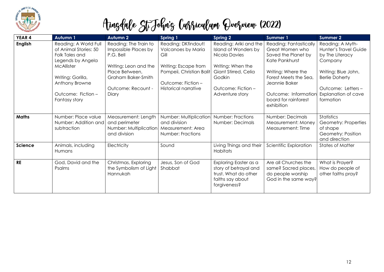

| <b>YEAR 4</b>  | Autumn 1                                                                                                                                                                          | <b>Autumn 2</b>                                                                                                                                            | Spring 1                                                                                                                                                   | <b>Spring 2</b>                                                                                                                                                 | <b>Summer 1</b>                                                                                                                                                                                                  | <b>Summer 2</b>                                                                                                                                                                  |
|----------------|-----------------------------------------------------------------------------------------------------------------------------------------------------------------------------------|------------------------------------------------------------------------------------------------------------------------------------------------------------|------------------------------------------------------------------------------------------------------------------------------------------------------------|-----------------------------------------------------------------------------------------------------------------------------------------------------------------|------------------------------------------------------------------------------------------------------------------------------------------------------------------------------------------------------------------|----------------------------------------------------------------------------------------------------------------------------------------------------------------------------------|
| <b>English</b> | Reading: A World Full<br>of Animal Stories: 50<br>Folk Tales and<br>Legends by Angela<br>McAllister<br>Writing: Gorilla,<br>Anthony Browne<br>Outcome: Fiction -<br>Fantasy story | Reading: The Train to<br>Impossible Places by<br>P.G. Bell<br>Writing: Leon and the<br>Place Between,<br>Graham Baker-Smith<br>Outcome: Recount -<br>Diary | Reading: DKfindout!<br>Volcanoes by Maria<br>Gill<br>Writing: Escape from<br>Pompeii, Christian Balit<br>Outcome: Fiction -<br><b>Historical narrative</b> | Reading: Ariki and the<br>Island of Wonders by<br>Nicola Davies<br>Writing: When the<br>Giant Stirred, Celia<br>Godkin<br>Outcome: Fiction -<br>Adventure story | Reading: Fantastically<br>Great Women who<br>Saved the Planet by<br>Kate Pankhurst<br>Writing: Where the<br>Forest Meets the Sea,<br>Jeannie Baker<br>Outcome: Information<br>board for rainforest<br>exhibition | Reading: A Myth-<br>Hunter's Travel Guide<br>by The Literacy<br>Company<br>Writing: Blue John,<br><b>Berlie Doherty</b><br>Outcome: Letters-<br>Explanation of cave<br>formation |
| <b>Maths</b>   | Number: Place value<br>Number: Addition and<br>subtraction                                                                                                                        | Measurement: Length<br>and perimeter<br>Number: Multiplication<br>and division                                                                             | Number: Multiplication<br>and division<br>Measurement: Area<br>Number: Fractions                                                                           | Number: Fractions<br>Number: Decimals                                                                                                                           | Number: Decimals<br>Measurement: Money<br>Measurement: Time                                                                                                                                                      | <b>Statistics</b><br>Geometry: Properties<br>of shape<br>Geometry: Position<br>and direction                                                                                     |
| <b>Science</b> | Animals, including<br>Humans                                                                                                                                                      | Electricity                                                                                                                                                | Sound                                                                                                                                                      | Living Things and their<br>Habitats                                                                                                                             | Scientific Exploration                                                                                                                                                                                           | <b>States of Matter</b>                                                                                                                                                          |
| <b>RE</b>      | God, David and the<br>Psalms                                                                                                                                                      | Christmas, Exploring<br>the Symbolism of Light<br>Hannukah                                                                                                 | Jesus, Son of God<br>Shabbat                                                                                                                               | Exploring Easter as a<br>story of betrayal and<br>trust. What do other<br>faiths say about<br>forgiveness?                                                      | Are all Churches the<br>same? Sacred places,<br>do people worship<br>God in the same way?                                                                                                                        | What is Prayer?<br>How do people of<br>other faiths pray?                                                                                                                        |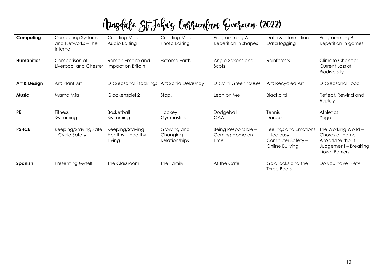| Computing         | Computing Systems<br>and Networks - The<br>Internet | Creating Media -<br>Audio Editing              | Creating Media -<br>Photo Editing          | Programming A -<br>Repetition in shapes       | Data & Information -<br>Data logging                                        | Programming B -<br>Repetition in games                                                            |
|-------------------|-----------------------------------------------------|------------------------------------------------|--------------------------------------------|-----------------------------------------------|-----------------------------------------------------------------------------|---------------------------------------------------------------------------------------------------|
| <b>Humanities</b> | Comparison of<br>Liverpool and Chester              | Roman Empire and<br>Impact on Britain          | <b>Extreme Earth</b>                       | Anglo-Saxons and<br>Scots                     | Rainforests                                                                 | <b>Climate Change:</b><br>Current Loss of<br><b>Biodiversity</b>                                  |
| Art & Design      | Art: Plant Art                                      | DT: Seasonal Stockings                         | Art: Sonia Delaunay                        | DT: Mini Greenhouses                          | Art: Recycled Art                                                           | DT: Seasonal Food                                                                                 |
| <b>Music</b>      | Mama Mia                                            | Glockenspiel 2                                 | Stop!                                      | Lean on Me                                    | Blackbird                                                                   | Reflect, Rewind and<br>Replay                                                                     |
| <b>PE</b>         | <b>Fitness</b><br>Swimming                          | <b>Basketball</b><br>Swimming                  | Hockey<br>Gymnastics                       | Dodgeball<br><b>OAA</b>                       | Tennis<br>Dance                                                             | <b>Athletics</b><br>Yoga                                                                          |
| <b>PSHCE</b>      | Keeping/Staying Safe<br>- Cycle Safety              | Keeping/Staying<br>Healthy - Healthy<br>Living | Growing and<br>Changing -<br>Relationships | Being Responsible -<br>Coming Home on<br>Time | Feelings and Emotions<br>- Jealousy<br>Computer Safety -<br>Online Bullying | The Working World -<br>Chores at Home<br>A World Without<br>Judgement – Breaking<br>Down Barriers |
| Spanish           | Presenting Myself                                   | The Classroom                                  | The Family                                 | At the Cafe                                   | Goldilocks and the<br>Three Bears                                           | Do you have Pet?                                                                                  |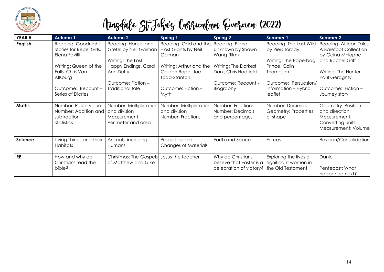

| YEAR 5         | <b>Autumn 1</b>                                                                                                                                                    | <b>Autumn 2</b>                                                                                                                                  | <b>Spring 1</b>                                                                                                                                     | <b>Spring 2</b>                                                                                                                       | Summer 1                                                                                                                                                   | Summer 2                                                                                                                                                                   |
|----------------|--------------------------------------------------------------------------------------------------------------------------------------------------------------------|--------------------------------------------------------------------------------------------------------------------------------------------------|-----------------------------------------------------------------------------------------------------------------------------------------------------|---------------------------------------------------------------------------------------------------------------------------------------|------------------------------------------------------------------------------------------------------------------------------------------------------------|----------------------------------------------------------------------------------------------------------------------------------------------------------------------------|
| <b>English</b> | Reading: Goodnight<br>Stories for Rebel Girls,<br>Elena Favilli<br>Writing: Queen of the<br>Falls, Chris Van<br>Allsburg<br>Outcome: Recount-<br>Series of Diaries | Reading: Hansel and<br>Gretel by Neil Gaiman<br>Writing: The Lost<br>Happy Endings, Carol<br>Ann Duffy<br>Outcome: Fiction -<br>Traditional tale | Reading: Odd and the<br>Frost Giants by Neil<br>Gaiman<br>Writing: Arthur and the<br>Golden Rope, Joe<br>Todd-Stanton<br>Outcome: Fiction -<br>Myth | Reading: Planet<br>Unknown by Shawn<br>Wang (film)<br>Writing: The Darkest<br>Dark, Chris Hadfield<br>Outcome: Recount -<br>Biography | Reading: The Last Wild<br>by Piers Torday<br>Writing: The Paperbag<br>Prince, Colin<br>Thompson<br>Outcome: Persuasion/<br>Information - Hybrid<br>leaflet | Reading: African Tales:<br>A Barefoot Collection<br>by Gcina Mhlophe<br>and Rachel Griffin<br>Writing: The Hunter,<br>Paul Geraghty<br>Outcome: Fiction -<br>Journey story |
| <b>Maths</b>   | Number: Place value<br>Number: Addition and<br>subtraction<br>Statistics                                                                                           | Number: Multiplication<br>and division<br>Measurement:<br>Perimeter and area                                                                     | Number: Multiplication<br>and division<br>Number: Fractions                                                                                         | Number: Fractions<br>Number: Decimals<br>and percentages                                                                              | Number: Decimals<br>Geometry: Properties<br>of shape                                                                                                       | Geometry: Position<br>and direction<br>Measurement:<br>Converting units<br>Measurement: Volume                                                                             |
| Science        | Living Things and their<br>Habitats                                                                                                                                | Animals, including<br>Humans                                                                                                                     | Properties and<br><b>Changes of Materials</b>                                                                                                       | Earth and Space                                                                                                                       | Forces                                                                                                                                                     | Revision/Consolidation                                                                                                                                                     |
| <b>RE</b>      | How and why do<br>Christians read the<br>bible?                                                                                                                    | <b>Christmas: The Gospels</b><br>of Matthew and Luke                                                                                             | Jesus the teacher                                                                                                                                   | Why do Christians<br>believe that Easter is a<br>celebration of victory?                                                              | Exploring the lives of<br>significant women in<br>the Old Testament                                                                                        | Daniel<br>Pentecost: What<br>happened next?                                                                                                                                |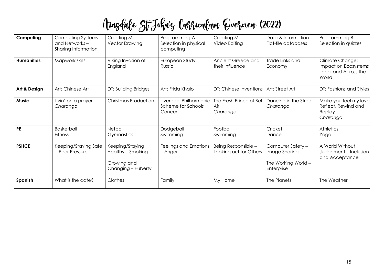| Computing         | Computing Systems<br>and Networks -<br>Sharing Information | Creating Media -<br><b>Vector Drawing</b>                                 | Programming A -<br>Selection in physical<br>computing   | Creating Media -<br>Video Editing             | Data & Information -<br>Flat-file databases                             | Programming B-<br>Selection in quizzes                                   |
|-------------------|------------------------------------------------------------|---------------------------------------------------------------------------|---------------------------------------------------------|-----------------------------------------------|-------------------------------------------------------------------------|--------------------------------------------------------------------------|
| <b>Humanities</b> | Mapwork skills                                             | Viking Invasion of<br>England                                             | European Study:<br>Russia                               | Ancient Greece and<br>their Influence         | Trade Links and<br>Economy                                              | Climate Change:<br>Impact on Ecosystems<br>Local and Across the<br>World |
| Art & Design      | Art: Chinese Art                                           | DT: Building Bridges                                                      | Art: Frida Khalo                                        | DT: Chinese Inventions                        | Art: Street Art                                                         | DT: Fashions and Styles                                                  |
| <b>Music</b>      | Livin' on a prayer<br>Charanga                             | <b>Christmas Production</b>                                               | Liverpool Philharmonic<br>Scheme for Schools<br>Concert | The Fresh Prince of Bel<br>Air<br>Charanga    | Dancing in the Street<br>Charanga                                       | Make you feel my love<br>Reflect, Rewind and<br>Replay<br>Charanga       |
| <b>PE</b>         | <b>Basketball</b><br><b>Fitness</b>                        | <b>Netball</b><br>Gymnastics                                              | Dodgeball<br>Swimming                                   | Football<br>Swimming                          | Cricket<br>Dance                                                        | Athletics<br>Yoga                                                        |
| <b>PSHCE</b>      | Keeping/Staying Safe<br>- Peer Pressure                    | Keeping/Staying<br>Healthy - Smoking<br>Growing and<br>Changing - Puberty | Feelings and Emotions<br>- Anger                        | Being Responsible -<br>Looking out for Others | Computer Safety -<br>Image Sharing<br>The Working World -<br>Enterprise | A World Without<br>Judgement - Inclusion<br>and Acceptance               |
| Spanish           | What is the date?                                          | Clothes                                                                   | Family                                                  | My Home                                       | The Planets                                                             | The Weather                                                              |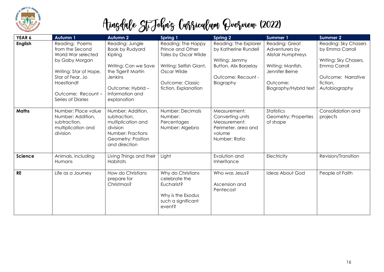

| YEAR 6       | <b>Autumn 1</b>                                                                                                                                                                 | <b>Autumn 2</b>                                                                                                                                                           | <b>Spring 1</b>                                                                                                                                      | <b>Spring 2</b>                                                                                                                    | <b>Summer 1</b>                                                                                                                    | <b>Summer 2</b>                                                                                                                     |
|--------------|---------------------------------------------------------------------------------------------------------------------------------------------------------------------------------|---------------------------------------------------------------------------------------------------------------------------------------------------------------------------|------------------------------------------------------------------------------------------------------------------------------------------------------|------------------------------------------------------------------------------------------------------------------------------------|------------------------------------------------------------------------------------------------------------------------------------|-------------------------------------------------------------------------------------------------------------------------------------|
| English      | Reading: Poems<br>from the Second<br>World War selected<br>by Gaby Morgan<br>Writing: Star of Hope,<br>Star of Fear, Jo<br>Hoestlandt<br>Outcome: Recount-<br>Series of Diaries | Reading: Jungle<br><b>Book by Rudyard</b><br>Kipling<br>Writing: Can we Save<br>the Tiger? Martin<br><b>Jenkins</b><br>Outcome: Hybrid-<br>Information and<br>explanation | Reading: The Happy<br>Prince and Other<br>Tales by Oscar Wilde<br>Writing: Selfish Giant,<br>Oscar Wilde<br>Outcome: Classic<br>fiction, Explanation | Reading: The Explorer<br>by Katherine Rundell<br>Writing: Jemmy<br><b>Button, Alix Barzelay</b><br>Outcome: Recount -<br>Biography | Reading: Great<br>Adventurers by<br>Alistair Humphreys<br>Writing: Manfish,<br>Jennifer Berne<br>Outcome:<br>Biography/Hybrid text | Reading: Sky Chasers<br>by Emma Carroll<br>Writing: Sky Chasers,<br>Emma Carroll<br>Outcome: Narrative<br>fiction,<br>Autobiography |
| <b>Maths</b> | Number: Place value<br>Number: Addition,<br>subtraction,<br>multiplication and<br>division                                                                                      | Number: Addition,<br>subtraction,<br>multiplication and<br>division<br>Number: Fractions<br>Geometry: Position<br>and direction                                           | Number: Decimals<br>Number:<br>Percentages<br>Number: Algebra                                                                                        | Measurement:<br>Converting units<br>Measurement:<br>Perimeter, area and<br>volume<br>Number: Ratio                                 | <b>Statistics</b><br>Geometry: Properties<br>of shape                                                                              | Consolidation and<br>projects                                                                                                       |
| Science      | Animals, including<br><b>Humans</b>                                                                                                                                             | Living Things and their<br>Habitats                                                                                                                                       | Light                                                                                                                                                | Evolution and<br>Inheritance                                                                                                       | Electricity                                                                                                                        | Revision/Transition                                                                                                                 |
| <b>RE</b>    | Life as a Journey                                                                                                                                                               | How do Christians<br>prepare for<br>Christmas?                                                                                                                            | Why do Christians<br>celebrate the<br>Eucharist?<br>Why is the Exodus<br>such a significant<br>event?                                                | Who was Jesus?<br>Ascension and<br>Pentecost                                                                                       | <b>Ideas About God</b>                                                                                                             | People of Faith                                                                                                                     |